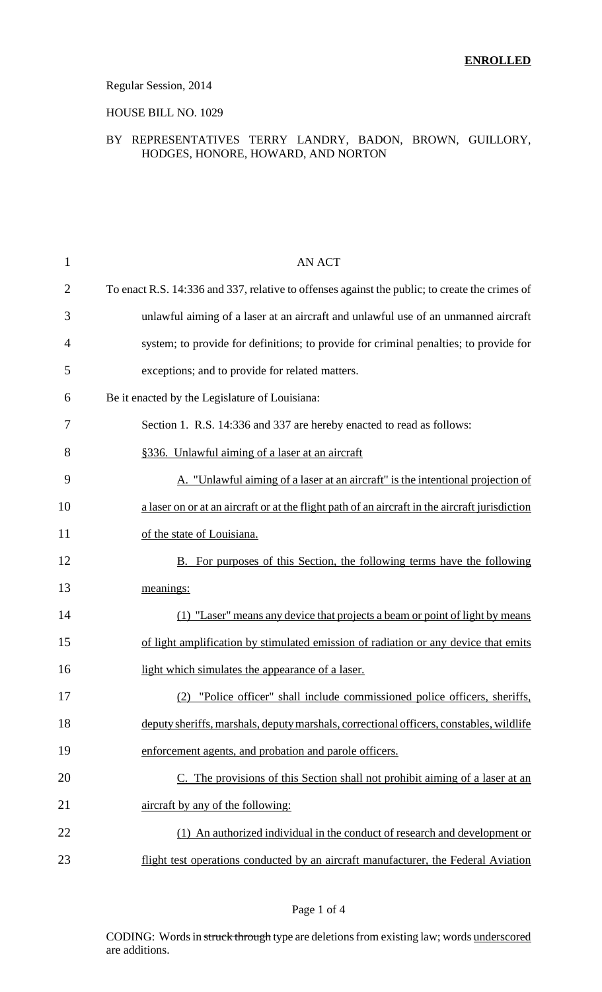### Regular Session, 2014

### HOUSE BILL NO. 1029

### BY REPRESENTATIVES TERRY LANDRY, BADON, BROWN, GUILLORY, HODGES, HONORE, HOWARD, AND NORTON

| 1              | <b>AN ACT</b>                                                                                  |
|----------------|------------------------------------------------------------------------------------------------|
| $\overline{2}$ | To enact R.S. 14:336 and 337, relative to offenses against the public; to create the crimes of |
| 3              | unlawful aiming of a laser at an aircraft and unlawful use of an unmanned aircraft             |
| 4              | system; to provide for definitions; to provide for criminal penalties; to provide for          |
| 5              | exceptions; and to provide for related matters.                                                |
| 6              | Be it enacted by the Legislature of Louisiana:                                                 |
| 7              | Section 1. R.S. 14:336 and 337 are hereby enacted to read as follows:                          |
| 8              | §336. Unlawful aiming of a laser at an aircraft                                                |
| 9              | A. "Unlawful aiming of a laser at an aircraft" is the intentional projection of                |
| 10             | a laser on or at an aircraft or at the flight path of an aircraft in the aircraft jurisdiction |
| 11             | of the state of Louisiana.                                                                     |
| 12             | <b>B.</b> For purposes of this Section, the following terms have the following                 |
| 13             | meanings:                                                                                      |
| 14             | "Laser" means any device that projects a beam or point of light by means                       |
| 15             | of light amplification by stimulated emission of radiation or any device that emits            |
| 16             | light which simulates the appearance of a laser.                                               |
| 17             | "Police officer" shall include commissioned police officers, sheriffs,<br>(2)                  |
| 18             | deputy sheriffs, marshals, deputy marshals, correctional officers, constables, wildlife        |
| 19             | enforcement agents, and probation and parole officers.                                         |
| 20             | C. The provisions of this Section shall not prohibit aiming of a laser at an                   |
| 21             | aircraft by any of the following:                                                              |
| 22             | (1) An authorized individual in the conduct of research and development or                     |
| 23             | flight test operations conducted by an aircraft manufacturer, the Federal Aviation             |

CODING: Words in struck through type are deletions from existing law; words underscored are additions.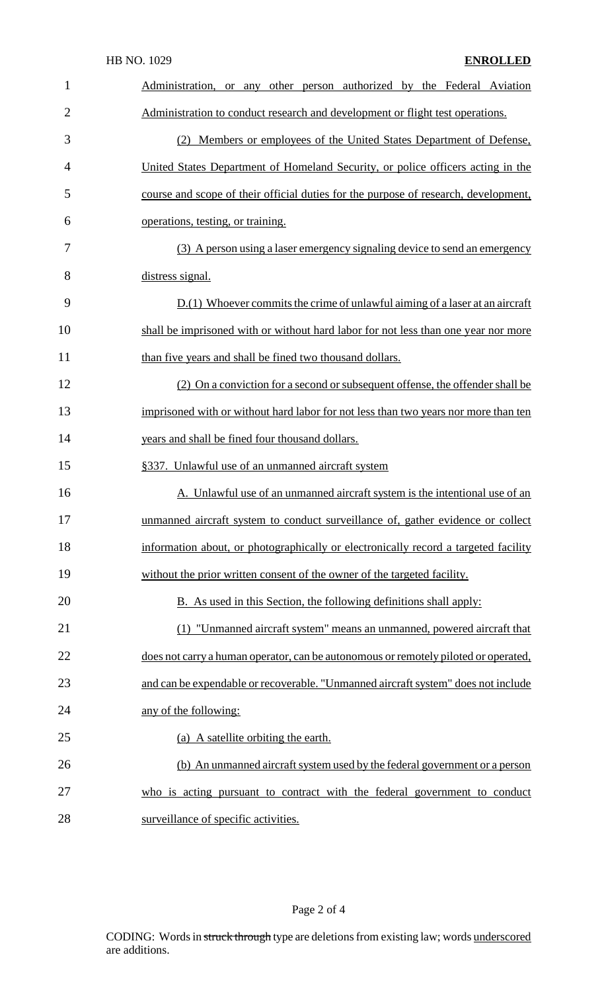|                | HB NO. 1029<br><b>ENROLLED</b>                                                      |
|----------------|-------------------------------------------------------------------------------------|
| 1              | Administration, or any other person authorized by the Federal Aviation              |
| $\overline{2}$ | Administration to conduct research and development or flight test operations.       |
| 3              | (2) Members or employees of the United States Department of Defense,                |
| 4              | United States Department of Homeland Security, or police officers acting in the     |
| 5              | course and scope of their official duties for the purpose of research, development, |
| 6              | operations, testing, or training.                                                   |
| 7              | (3) A person using a laser emergency signaling device to send an emergency          |
| 8              | distress signal.                                                                    |
| 9              | D.(1) Whoever commits the crime of unlawful aiming of a laser at an aircraft        |
| 10             | shall be imprisoned with or without hard labor for not less than one year nor more  |
| 11             | than five years and shall be fined two thousand dollars.                            |
| 12             | (2) On a conviction for a second or subsequent offense, the offender shall be       |
| 13             | imprisoned with or without hard labor for not less than two years nor more than ten |
| 14             | years and shall be fined four thousand dollars.                                     |
| 15             | §337. Unlawful use of an unmanned aircraft system                                   |
| 16             | A. Unlawful use of an unmanned aircraft system is the intentional use of an         |
| 17             | unmanned aircraft system to conduct surveillance of, gather evidence or collect     |
| 18             | information about, or photographically or electronically record a targeted facility |
| 19             | without the prior written consent of the owner of the targeted facility.            |
| 20             | B. As used in this Section, the following definitions shall apply:                  |
| 21             | (1) "Unmanned aircraft system" means an unmanned, powered aircraft that             |
| 22             | does not carry a human operator, can be autonomous or remotely piloted or operated, |
| 23             | and can be expendable or recoverable. "Unmanned aircraft system" does not include   |
| 24             | any of the following:                                                               |
| 25             | (a) A satellite orbiting the earth.                                                 |
| 26             | (b) An unmanned aircraft system used by the federal government or a person          |
| 27             | who is acting pursuant to contract with the federal government to conduct           |
| 28             | surveillance of specific activities.                                                |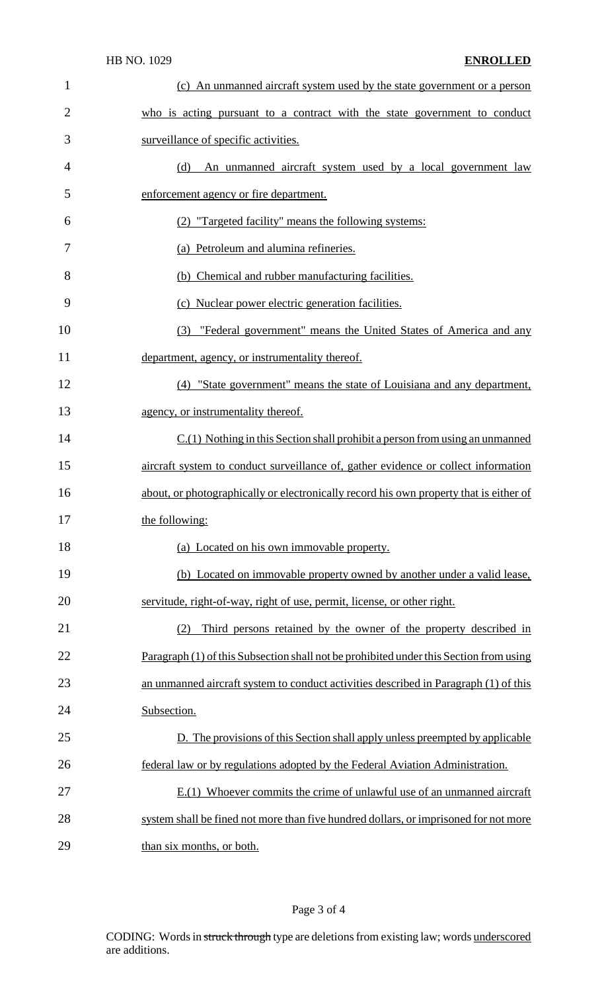| $\mathbf{1}$   | (c) An unmanned aircraft system used by the state government or a person               |
|----------------|----------------------------------------------------------------------------------------|
| $\overline{2}$ | who is acting pursuant to a contract with the state government to conduct              |
| 3              | surveillance of specific activities.                                                   |
| $\overline{4}$ | An unmanned aircraft system used by a local government law<br>(d)                      |
| 5              | enforcement agency or fire department.                                                 |
| 6              | (2) "Targeted facility" means the following systems:                                   |
| 7              | (a) Petroleum and alumina refineries.                                                  |
| 8              | (b) Chemical and rubber manufacturing facilities.                                      |
| 9              | (c) Nuclear power electric generation facilities.                                      |
| 10             | (3) "Federal government" means the United States of America and any                    |
| 11             | department, agency, or instrumentality thereof.                                        |
| 12             | (4) "State government" means the state of Louisiana and any department,                |
| 13             | agency, or instrumentality thereof.                                                    |
| 14             | $C(1)$ Nothing in this Section shall prohibit a person from using an unmanned          |
| 15             | aircraft system to conduct surveillance of, gather evidence or collect information     |
| 16             | about, or photographically or electronically record his own property that is either of |
| 17             | the following:                                                                         |
| 18             | (a) Located on his own immovable property.                                             |
| 19             | (b) Located on immovable property owned by another under a valid lease,                |
| 20             | servitude, right-of-way, right of use, permit, license, or other right.                |
| 21             | Third persons retained by the owner of the property described in<br>(2)                |
| 22             | Paragraph (1) of this Subsection shall not be prohibited under this Section from using |
| 23             | an unmanned aircraft system to conduct activities described in Paragraph (1) of this   |
| 24             | Subsection.                                                                            |
| 25             | D. The provisions of this Section shall apply unless preempted by applicable           |
| 26             | federal law or by regulations adopted by the Federal Aviation Administration.          |
| 27             | $E(1)$ Whoever commits the crime of unlawful use of an unmanned aircraft               |
| 28             | system shall be fined not more than five hundred dollars, or imprisoned for not more   |
| 29             | than six months, or both.                                                              |

## Page 3 of 4

CODING: Words in struck through type are deletions from existing law; words underscored are additions.